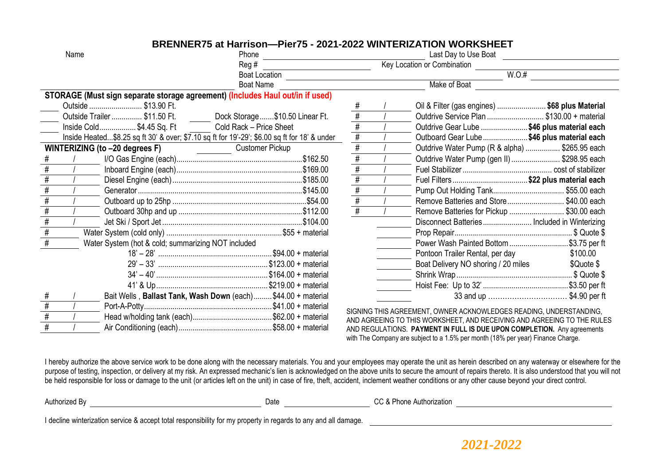# **BRENNER75 at Harrison—Pier75 - 2021-2022 WINTERIZATION WORKSHEET**

| Name |                                                    |                                                  | Phone                                                                                        |                 | Last Day to Use Boat                                                    |                         |
|------|----------------------------------------------------|--------------------------------------------------|----------------------------------------------------------------------------------------------|-----------------|-------------------------------------------------------------------------|-------------------------|
|      |                                                    |                                                  | Reg #                                                                                        |                 | <b>Key Location or Combination</b>                                      |                         |
|      |                                                    |                                                  | <b>Boat Location</b>                                                                         |                 | W.O.#                                                                   |                         |
|      |                                                    |                                                  | <b>Boat Name</b>                                                                             |                 | Make of Boat                                                            |                         |
|      |                                                    |                                                  | STORAGE (Must sign separate storage agreement) (Includes Haul out/in if used)                |                 |                                                                         |                         |
|      |                                                    | Outside  \$13.90 Ft.                             |                                                                                              |                 | Oil & Filter (gas engines)  \$68 plus Material                          |                         |
|      |                                                    | Outside Trailer  \$11.50 Ft.                     | Dock Storage\$10.50 Linear Ft.                                                               | $\overline{\#}$ | Outdrive Service Plan  \$130.00 + material                              |                         |
|      |                                                    | Inside Cold\$4.45 Sq. Ft Cold Rack - Price Sheet |                                                                                              | #               | Outdrive Gear Lube  \$46 plus material each                             |                         |
|      |                                                    |                                                  | Inside Heated\$8.25 sq ft 30' & over; \$7.10 sq ft for 19'-29'; \$6.00 sq ft for 18' & under | #               | Outboard Gear Lube \$46 plus material each                              |                         |
|      |                                                    | WINTERIZING (to -20 degrees F)                   | Customer Pickup                                                                              | #               | Outdrive Water Pump (R & alpha)  \$265.95 each                          |                         |
|      |                                                    |                                                  |                                                                                              |                 | Outdrive Water Pump (gen II)  \$298.95 each                             |                         |
|      |                                                    |                                                  |                                                                                              |                 |                                                                         |                         |
|      |                                                    |                                                  |                                                                                              |                 |                                                                         |                         |
|      |                                                    |                                                  |                                                                                              |                 |                                                                         |                         |
|      |                                                    |                                                  |                                                                                              |                 | Remove Batteries and Store\$40.00 each                                  |                         |
|      |                                                    |                                                  |                                                                                              |                 | Remove Batteries for Pickup  \$30.00 each                               |                         |
|      |                                                    |                                                  |                                                                                              |                 | Disconnect Batteries Included in Winterizing                            |                         |
|      |                                                    |                                                  |                                                                                              |                 |                                                                         |                         |
|      | Water System (hot & cold; summarizing NOT included |                                                  |                                                                                              |                 | Power Wash Painted Bottom \$3.75 per ft                                 |                         |
|      |                                                    |                                                  |                                                                                              |                 | Pontoon Trailer Rental, per day                                         | \$100.00                |
|      |                                                    |                                                  |                                                                                              |                 | Boat Delivery NO shoring / 20 miles                                     | \$Quote \$              |
|      |                                                    |                                                  |                                                                                              |                 |                                                                         |                         |
|      |                                                    |                                                  |                                                                                              |                 |                                                                         |                         |
|      |                                                    |                                                  | Bait Wells, Ballast Tank, Wash Down (each) \$44.00 + material                                |                 |                                                                         | 33 and up \$4.90 per ft |
|      |                                                    |                                                  |                                                                                              |                 | SIGNING THIS AGREEMENT, OWNER ACKNOWLEDGES READING, UNDERSTANDING,      |                         |
|      |                                                    |                                                  |                                                                                              |                 | AND AGREEING TO THIS WORKSHEET, AND RECEIVING AND AGREEING TO THE RULES |                         |
|      |                                                    |                                                  |                                                                                              |                 | AND REGULATIONS. PAYMENT IN FULL IS DUE UPON COMPLETION. Any agreements |                         |

AND REGULATIONS. **PAYMENT IN FULL IS DUE UPON COMPLETION.** Any agreements with The Company are subject to a 1.5% per month (18% per year) Finance Charge.

I hereby authorize the above service work to be done along with the necessary materials. You and your employees may operate the unit as herein described on any waterway or elsewhere for the purpose of testing, inspection, or delivery at my risk. An expressed mechanic's lien is acknowledged on the above units to secure the amount of repairs thereto. It is also understood that you will not be held responsible for loss or damage to the unit (or articles left on the unit) in case of fire, theft, accident, inclement weather conditions or any other cause beyond your direct control.

Authorized By **CC & Phone Authorization Date CC & Phone Authorization** 

I decline winterization service & accept total responsibility for my property in regards to any and all damage.